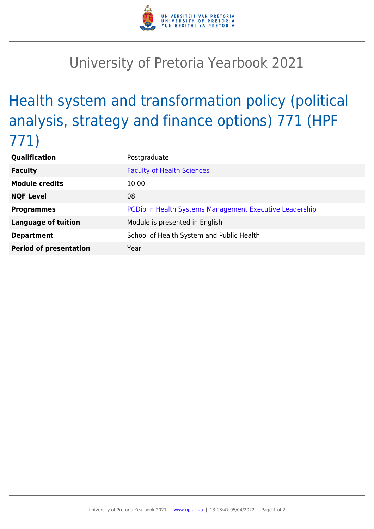

## University of Pretoria Yearbook 2021

## Health system and transformation policy (political analysis, strategy and finance options) 771 (HPF 771)

| <b>Qualification</b>          | Postgraduate                                            |
|-------------------------------|---------------------------------------------------------|
| <b>Faculty</b>                | <b>Faculty of Health Sciences</b>                       |
| <b>Module credits</b>         | 10.00                                                   |
| <b>NQF Level</b>              | 08                                                      |
| <b>Programmes</b>             | PGDip in Health Systems Management Executive Leadership |
| <b>Language of tuition</b>    | Module is presented in English                          |
| <b>Department</b>             | School of Health System and Public Health               |
| <b>Period of presentation</b> | Year                                                    |